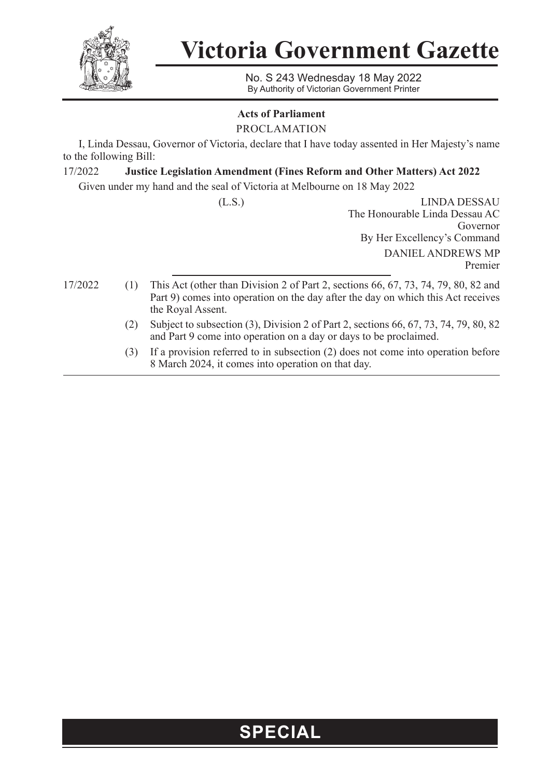

**Victoria Government Gazette**

No. S 243 Wednesday 18 May 2022 By Authority of Victorian Government Printer

## **Acts of Parliament**

PROCLAMATION

I, Linda Dessau, Governor of Victoria, declare that I have today assented in Her Majesty's name to the following Bill:

## 17/2022 **Justice Legislation Amendment (Fines Reform and Other Matters) Act 2022**

Given under my hand and the seal of Victoria at Melbourne on 18 May 2022

(L.S.) LINDA DESSAU The Honourable Linda Dessau AC Governor By Her Excellency's Command DANIEL ANDREWS MP Premier

- 
- 17/2022 (1) This Act (other than Division 2 of Part 2, sections 66, 67, 73, 74, 79, 80, 82 and Part 9) comes into operation on the day after the day on which this Act receives the Royal Assent.
	- (2) Subject to subsection (3), Division 2 of Part 2, sections 66, 67, 73, 74, 79, 80, 82 and Part 9 come into operation on a day or days to be proclaimed.
	- (3) If a provision referred to in subsection (2) does not come into operation before 8 March 2024, it comes into operation on that day.

## **SPECIAL**